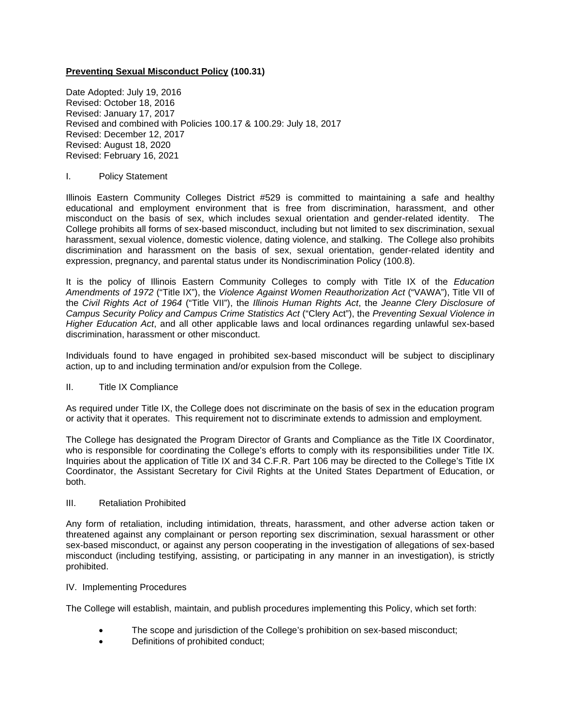# **Preventing Sexual Misconduct Policy (100.31)**

Date Adopted: July 19, 2016 Revised: October 18, 2016 Revised: January 17, 2017 Revised and combined with Policies 100.17 & 100.29: July 18, 2017 Revised: December 12, 2017 Revised: August 18, 2020 Revised: February 16, 2021

# I. Policy Statement

Illinois Eastern Community Colleges District #529 is committed to maintaining a safe and healthy educational and employment environment that is free from discrimination, harassment, and other misconduct on the basis of sex, which includes sexual orientation and gender-related identity. The College prohibits all forms of sex-based misconduct, including but not limited to sex discrimination, sexual harassment, sexual violence, domestic violence, dating violence, and stalking. The College also prohibits discrimination and harassment on the basis of sex, sexual orientation, gender-related identity and expression, pregnancy, and parental status under its Nondiscrimination Policy (100.8).

It is the policy of Illinois Eastern Community Colleges to comply with Title IX of the *Education Amendments of 1972* ("Title IX"), the *Violence Against Women Reauthorization Act* ("VAWA"), Title VII of the *Civil Rights Act of 1964* ("Title VII"), the *Illinois Human Rights Act*, the *Jeanne Clery Disclosure of Campus Security Policy and Campus Crime Statistics Act* ("Clery Act"), the *Preventing Sexual Violence in Higher Education Act*, and all other applicable laws and local ordinances regarding unlawful sex-based discrimination, harassment or other misconduct.

Individuals found to have engaged in prohibited sex-based misconduct will be subject to disciplinary action, up to and including termination and/or expulsion from the College.

# II. Title IX Compliance

As required under Title IX, the College does not discriminate on the basis of sex in the education program or activity that it operates. This requirement not to discriminate extends to admission and employment.

The College has designated the Program Director of Grants and Compliance as the Title IX Coordinator, who is responsible for coordinating the College's efforts to comply with its responsibilities under Title IX. Inquiries about the application of Title IX and 34 C.F.R. Part 106 may be directed to the College's Title IX Coordinator, the Assistant Secretary for Civil Rights at the United States Department of Education, or both.

# III. Retaliation Prohibited

Any form of retaliation, including intimidation, threats, harassment, and other adverse action taken or threatened against any complainant or person reporting sex discrimination, sexual harassment or other sex-based misconduct, or against any person cooperating in the investigation of allegations of sex-based misconduct (including testifying, assisting, or participating in any manner in an investigation), is strictly prohibited.

# IV. Implementing Procedures

The College will establish, maintain, and publish procedures implementing this Policy, which set forth:

- The scope and jurisdiction of the College's prohibition on sex-based misconduct;
- Definitions of prohibited conduct;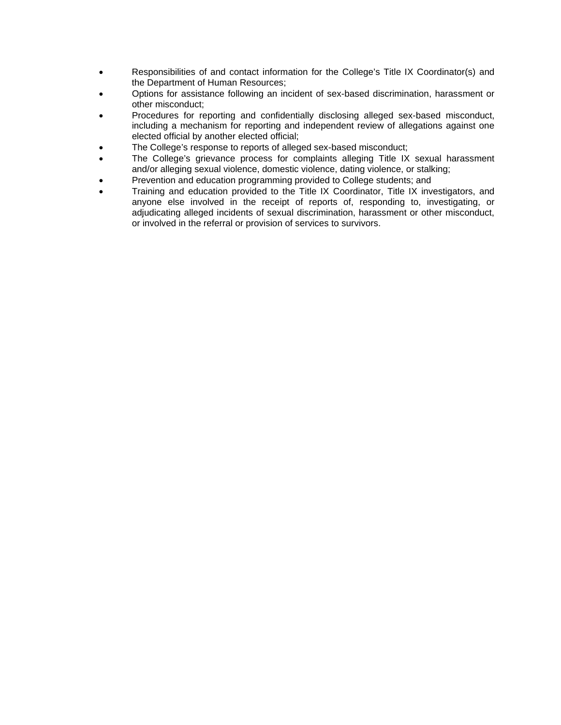- Responsibilities of and contact information for the College's Title IX Coordinator(s) and the Department of Human Resources;
- Options for assistance following an incident of sex-based discrimination, harassment or other misconduct;
- Procedures for reporting and confidentially disclosing alleged sex-based misconduct, including a mechanism for reporting and independent review of allegations against one elected official by another elected official;
- The College's response to reports of alleged sex-based misconduct;
- The College's grievance process for complaints alleging Title IX sexual harassment and/or alleging sexual violence, domestic violence, dating violence, or stalking;
- Prevention and education programming provided to College students; and
- Training and education provided to the Title IX Coordinator, Title IX investigators, and anyone else involved in the receipt of reports of, responding to, investigating, or adjudicating alleged incidents of sexual discrimination, harassment or other misconduct, or involved in the referral or provision of services to survivors.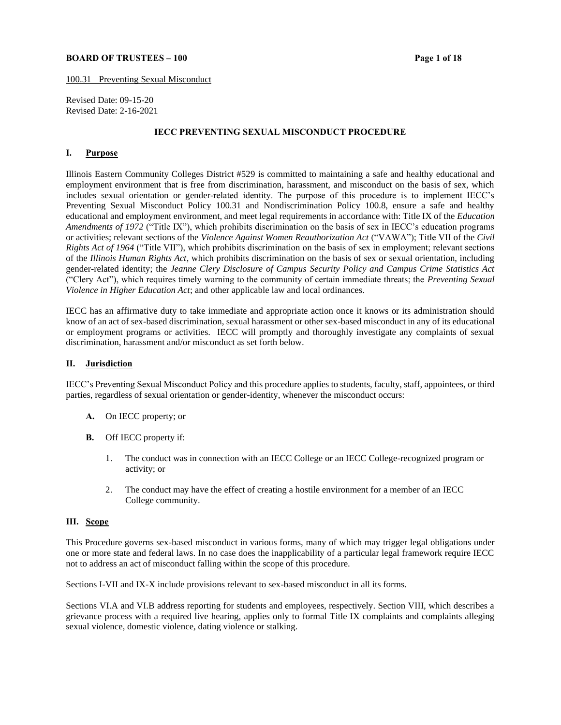## **BOARD OF TRUSTEES – 100 Page 1 Page 1 Page 1 Page 1 Page 1 Page 1 Page 1 Page 1 Page 1 Page 1 Page 1 Page 1 Page 1 Page 1 Page 1 Page 1 Page 1 Page 1 Page 1 Page 1 Page 1 Page 1**

100.31 Preventing Sexual Misconduct

Revised Date: 09-15-20 Revised Date: 2-16-2021

#### **IECC PREVENTING SEXUAL MISCONDUCT PROCEDURE**

## **I. Purpose**

Illinois Eastern Community Colleges District #529 is committed to maintaining a safe and healthy educational and employment environment that is free from discrimination, harassment, and misconduct on the basis of sex, which includes sexual orientation or gender-related identity. The purpose of this procedure is to implement IECC's Preventing Sexual Misconduct Policy 100.31 and Nondiscrimination Policy 100.8, ensure a safe and healthy educational and employment environment, and meet legal requirements in accordance with: Title IX of the *Education Amendments of 1972* ("Title IX"), which prohibits discrimination on the basis of sex in IECC's education programs or activities; relevant sections of the *Violence Against Women Reauthorization Act* ("VAWA"); Title VII of the *Civil Rights Act of 1964* ("Title VII"), which prohibits discrimination on the basis of sex in employment; relevant sections of the *Illinois Human Rights Act*, which prohibits discrimination on the basis of sex or sexual orientation, including gender-related identity; the *Jeanne Clery Disclosure of Campus Security Policy and Campus Crime Statistics Act* ("Clery Act"), which requires timely warning to the community of certain immediate threats; the *Preventing Sexual Violence in Higher Education Act*; and other applicable law and local ordinances.

IECC has an affirmative duty to take immediate and appropriate action once it knows or its administration should know of an act of sex-based discrimination, sexual harassment or other sex-based misconduct in any of its educational or employment programs or activities. IECC will promptly and thoroughly investigate any complaints of sexual discrimination, harassment and/or misconduct as set forth below.

## **II. Jurisdiction**

IECC's Preventing Sexual Misconduct Policy and this procedure applies to students, faculty, staff, appointees, or third parties, regardless of sexual orientation or gender-identity, whenever the misconduct occurs:

- **A.** On IECC property; or
- **B.** Off IECC property if:
	- 1. The conduct was in connection with an IECC College or an IECC College-recognized program or activity; or
	- 2. The conduct may have the effect of creating a hostile environment for a member of an IECC College community.

## **III. Scope**

This Procedure governs sex-based misconduct in various forms, many of which may trigger legal obligations under one or more state and federal laws. In no case does the inapplicability of a particular legal framework require IECC not to address an act of misconduct falling within the scope of this procedure.

Sections I-VII and IX-X include provisions relevant to sex-based misconduct in all its forms.

Sections VI.A and VI.B address reporting for students and employees, respectively. Section VIII, which describes a grievance process with a required live hearing, applies only to formal Title IX complaints and complaints alleging sexual violence, domestic violence, dating violence or stalking.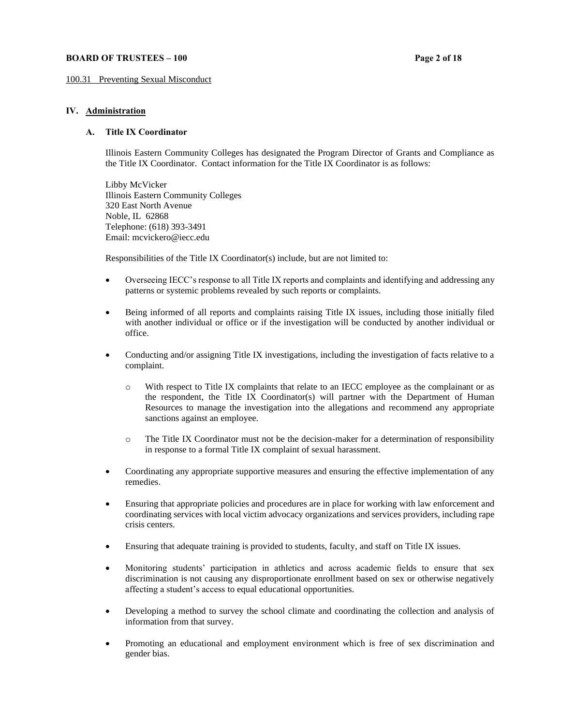## **BOARD OF TRUSTEES – 100 Page 2** of 18

#### 100.31 Preventing Sexual Misconduct

## **IV. Administration**

#### **A. Title IX Coordinator**

Illinois Eastern Community Colleges has designated the Program Director of Grants and Compliance as the Title IX Coordinator. Contact information for the Title IX Coordinator is as follows:

Libby McVicker Illinois Eastern Community Colleges 320 East North Avenue Noble, IL 62868 Telephone: (618) 393-3491 Email: mcvickero@iecc.edu

Responsibilities of the Title IX Coordinator(s) include, but are not limited to:

- Overseeing IECC's response to all Title IX reports and complaints and identifying and addressing any patterns or systemic problems revealed by such reports or complaints.
- Being informed of all reports and complaints raising Title IX issues, including those initially filed with another individual or office or if the investigation will be conducted by another individual or office.
- Conducting and/or assigning Title IX investigations, including the investigation of facts relative to a complaint.
	- o With respect to Title IX complaints that relate to an IECC employee as the complainant or as the respondent, the Title IX Coordinator(s) will partner with the Department of Human Resources to manage the investigation into the allegations and recommend any appropriate sanctions against an employee.
	- o The Title IX Coordinator must not be the decision-maker for a determination of responsibility in response to a formal Title IX complaint of sexual harassment.
- Coordinating any appropriate supportive measures and ensuring the effective implementation of any remedies.
- Ensuring that appropriate policies and procedures are in place for working with law enforcement and coordinating services with local victim advocacy organizations and services providers, including rape crisis centers.
- Ensuring that adequate training is provided to students, faculty, and staff on Title IX issues.
- Monitoring students' participation in athletics and across academic fields to ensure that sex discrimination is not causing any disproportionate enrollment based on sex or otherwise negatively affecting a student's access to equal educational opportunities.
- Developing a method to survey the school climate and coordinating the collection and analysis of information from that survey.
- Promoting an educational and employment environment which is free of sex discrimination and gender bias.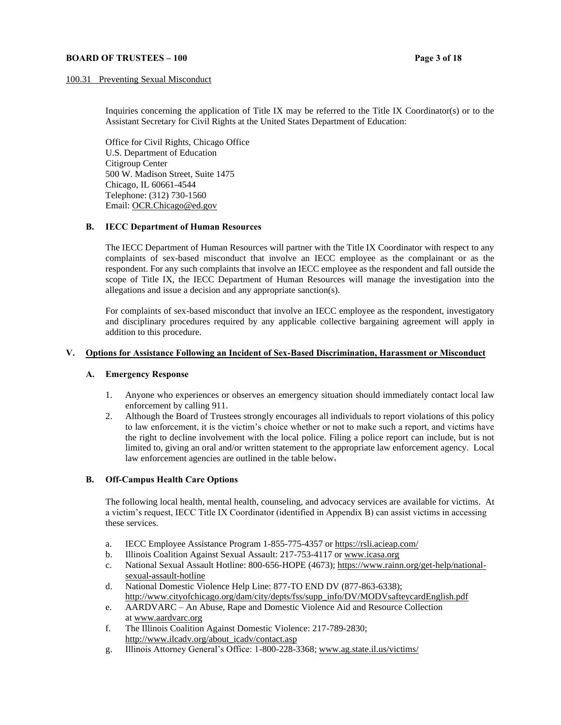## **BOARD OF TRUSTEES – 100 Page 3** of 18

## 100.31 Preventing Sexual Misconduct

Inquiries concerning the application of Title IX may be referred to the Title IX Coordinator(s) or to the Assistant Secretary for Civil Rights at the United States Department of Education:

Office for Civil Rights, Chicago Office U.S. Department of Education Citigroup Center 500 W. Madison Street, Suite 1475 Chicago, IL 60661-4544 Telephone: (312) 730-1560 Email: [OCR.Chicago@ed.gov](mailto:OCR.Chicago@ed.gov)

#### **B. IECC Department of Human Resources**

The IECC Department of Human Resources will partner with the Title IX Coordinator with respect to any complaints of sex-based misconduct that involve an IECC employee as the complainant or as the respondent. For any such complaints that involve an IECC employee as the respondent and fall outside the scope of Title IX, the IECC Department of Human Resources will manage the investigation into the allegations and issue a decision and any appropriate sanction(s).

For complaints of sex-based misconduct that involve an IECC employee as the respondent, investigatory and disciplinary procedures required by any applicable collective bargaining agreement will apply in addition to this procedure.

## **V. Options for Assistance Following an Incident of Sex-Based Discrimination, Harassment or Misconduct**

#### **A. Emergency Response**

- 1. Anyone who experiences or observes an emergency situation should immediately contact local law enforcement by calling 911.
- 2. Although the Board of Trustees strongly encourages all individuals to report violations of this policy to law enforcement, it is the victim's choice whether or not to make such a report, and victims have the right to decline involvement with the local police. Filing a police report can include, but is not limited to, giving an oral and/or written statement to the appropriate law enforcement agency. Local law enforcement agencies are outlined in the table below.

## **B. Off-Campus Health Care Options**

The following local health, mental health, counseling, and advocacy services are available for victims. At a victim's request, IECC Title IX Coordinator (identified in Appendix B) can assist victims in accessing these services.

- a. IECC Employee Assistance Program 1-855-775-4357 o[r https://rsli.acieap.com/](https://rsli.acieap.com/)
- b. Illinois Coalition Against Sexual Assault: 217-753-4117 or www.icasa.org
- c. National Sexual Assault Hotline: 800-656-HOPE (4673); https://www.rainn.org/get-help/nationalsexual-assault-hotline
- d. National Domestic Violence Help Line: 877-TO END DV (877-863-6338); [http://www.cityofchicago.org/dam/city/depts/fss/supp\\_info/DV/MODVsafteycardEnglish.pdf](http://www.cityofchicago.org/dam/city/depts/fss/supp_info/DV/MODVsafteycardEnglish.pdf)
- e. AARDVARC An Abuse, Rape and Domestic Violence Aid and Resource Collection at www.aardvarc.org
- f. The Illinois Coalition Against Domestic Violence: 217-789-2830; [http://www.ilcadv.org/about\\_icadv/contact.asp](http://www.ilcadv.org/about_icadv/contact.asp)
- g. Illinois Attorney General's Office: 1-800-228-3368; www.ag.state.il.us/victims/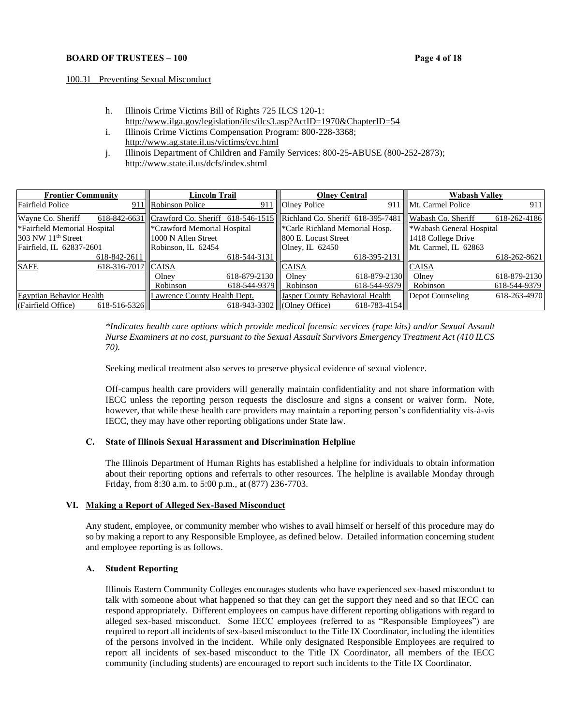## **BOARD OF TRUSTEES – 100 Page 4** of 18

#### 100.31 Preventing Sexual Misconduct

- h. Illinois Crime Victims Bill of Rights 725 ILCS 120-1: http://www.ilga.gov/legislation/ilcs/ilcs3.asp?ActID=1970&ChapterID=54
- i. Illinois Crime Victims Compensation Program: 800-228-3368; http://www.ag.state.il.us/victims/cvc.html
- j. Illinois Department of Children and Family Services: 800-25-ABUSE (800-252-2873); <http://www.state.il.us/dcfs/index.shtml>

| <b>Frontier Community</b>          | Lincoln Trail                                                                    | <b>Olney Central</b>                        | <b>Wabash Valley</b>                 |
|------------------------------------|----------------------------------------------------------------------------------|---------------------------------------------|--------------------------------------|
| <b>Fairfield Police</b>            | 911 Robinson Police<br>911                                                       | Olney Police                                | 911 Mt. Carmel Police<br>911         |
| Wayne Co. Sheriff                  | 618-842-6631 Crawford Co. Sheriff 618-546-1515 Richland Co. Sheriff 618-395-7481 |                                             | Wabash Co. Sheriff<br>618-262-4186   |
| *Fairfield Memorial Hospital       | <sup>*</sup> Crawford Memorial Hospital                                          | *Carle Richland Memorial Hosp.              | <sup>*</sup> Wabash General Hospital |
| $1303$ NW $11th$ Street            | 1000 N Allen Street                                                              | 800 E. Locust Street                        | 1418 College Drive                   |
| Fairfield, IL 62837-2601           | Robinson, IL 62454                                                               | Olney, IL $62450$                           | Mt. Carmel, IL 62863                 |
| 618-842-2611                       | $618 - 544 - 3131$                                                               | 618-395-2131                                | 618-262-8621                         |
| <b>SAFE</b><br>618-316-7017 CAISA  |                                                                                  | <b>CAISA</b>                                | <b>CAISA</b>                         |
|                                    | 618-879-2130<br>Olney                                                            | 618-879-2130<br>Olney                       | 618-879-2130<br>Olney                |
|                                    | Robinson<br>618-544-9379                                                         | Robinson<br>618-544-9379                    | Robinson<br>618-544-9379             |
| <b>Egyptian Behavior Health</b>    | Lawrence County Health Dept.                                                     | <b>Jasper County Behavioral Health</b>      | 618-263-4970<br>Depot Counseling     |
| (Fairfield Office)<br>618-516-5326 |                                                                                  | 618-943-3302 (Olney Office)<br>618-783-4154 |                                      |

*\*Indicates health care options which provide medical forensic services (rape kits) and/or Sexual Assault Nurse Examiners at no cost, pursuant to the Sexual Assault Survivors Emergency Treatment Act (410 ILCS 70).*

Seeking medical treatment also serves to preserve physical evidence of sexual violence.

Off-campus health care providers will generally maintain confidentiality and not share information with IECC unless the reporting person requests the disclosure and signs a consent or waiver form. Note, however, that while these health care providers may maintain a reporting person's confidentiality vis-à-vis IECC, they may have other reporting obligations under State law.

## **C. State of Illinois Sexual Harassment and Discrimination Helpline**

The Illinois Department of Human Rights has established a helpline for individuals to obtain information about their reporting options and referrals to other resources. The helpline is available Monday through Friday, from 8:30 a.m. to 5:00 p.m., at (877) 236-7703.

## **VI. Making a Report of Alleged Sex-Based Misconduct**

Any student, employee, or community member who wishes to avail himself or herself of this procedure may do so by making a report to any Responsible Employee, as defined below. Detailed information concerning student and employee reporting is as follows.

# **A. Student Reporting**

Illinois Eastern Community Colleges encourages students who have experienced sex-based misconduct to talk with someone about what happened so that they can get the support they need and so that IECC can respond appropriately. Different employees on campus have different reporting obligations with regard to alleged sex-based misconduct. Some IECC employees (referred to as "Responsible Employees") are required to report all incidents of sex-based misconduct to the Title IX Coordinator, including the identities of the persons involved in the incident. While only designated Responsible Employees are required to report all incidents of sex-based misconduct to the Title IX Coordinator, all members of the IECC community (including students) are encouraged to report such incidents to the Title IX Coordinator.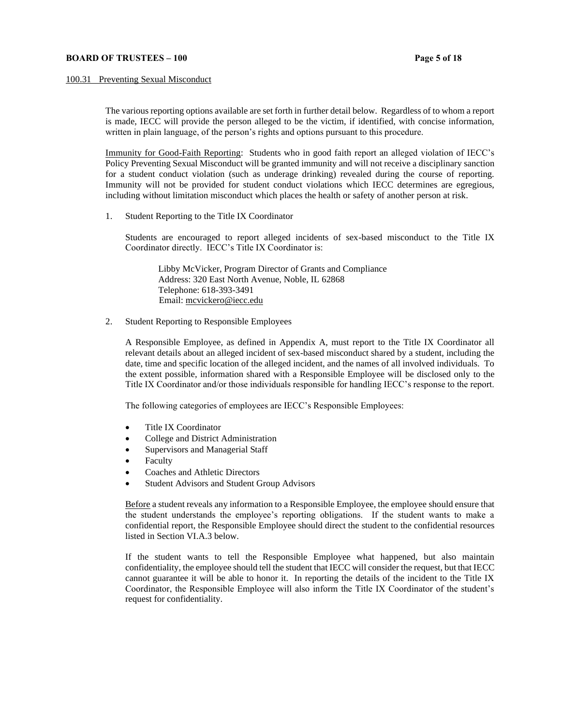#### 100.31 Preventing Sexual Misconduct

The various reporting options available are set forth in further detail below. Regardless of to whom a report is made, IECC will provide the person alleged to be the victim, if identified, with concise information, written in plain language, of the person's rights and options pursuant to this procedure.

Immunity for Good-Faith Reporting: Students who in good faith report an alleged violation of IECC's Policy Preventing Sexual Misconduct will be granted immunity and will not receive a disciplinary sanction for a student conduct violation (such as underage drinking) revealed during the course of reporting. Immunity will not be provided for student conduct violations which IECC determines are egregious, including without limitation misconduct which places the health or safety of another person at risk.

1. Student Reporting to the Title IX Coordinator

Students are encouraged to report alleged incidents of sex-based misconduct to the Title IX Coordinator directly. IECC's Title IX Coordinator is:

Libby McVicker, Program Director of Grants and Compliance Address: 320 East North Avenue, Noble, IL 62868 Telephone: 618-393-3491 Email[: mcvickero@iecc.edu](mailto:mcvickero@iecc.edu)

2. Student Reporting to Responsible Employees

A Responsible Employee, as defined in Appendix A, must report to the Title IX Coordinator all relevant details about an alleged incident of sex-based misconduct shared by a student, including the date, time and specific location of the alleged incident, and the names of all involved individuals. To the extent possible, information shared with a Responsible Employee will be disclosed only to the Title IX Coordinator and/or those individuals responsible for handling IECC's response to the report.

The following categories of employees are IECC's Responsible Employees:

- Title IX Coordinator
- College and District Administration
- Supervisors and Managerial Staff
- **Faculty**
- Coaches and Athletic Directors
- Student Advisors and Student Group Advisors

Before a student reveals any information to a Responsible Employee, the employee should ensure that the student understands the employee's reporting obligations. If the student wants to make a confidential report, the Responsible Employee should direct the student to the confidential resources listed in Section VI.A.3 below.

If the student wants to tell the Responsible Employee what happened, but also maintain confidentiality, the employee should tell the student that IECC will consider the request, but that IECC cannot guarantee it will be able to honor it. In reporting the details of the incident to the Title IX Coordinator, the Responsible Employee will also inform the Title IX Coordinator of the student's request for confidentiality.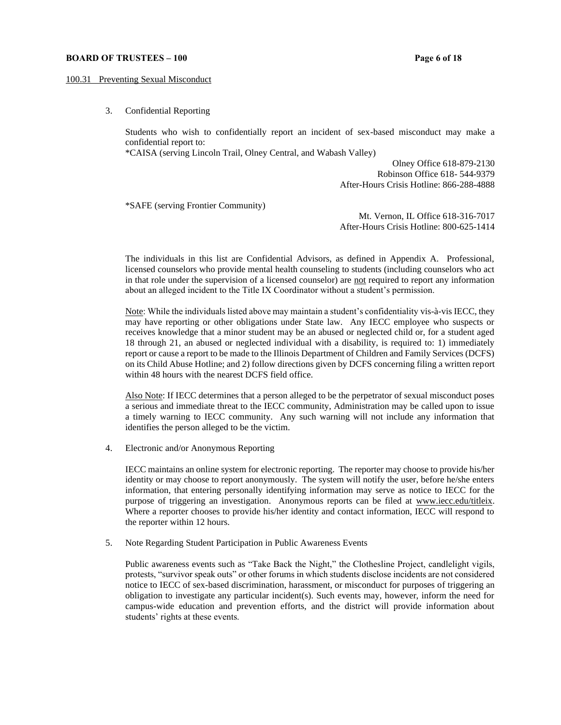#### **BOARD OF TRUSTEES – 100 Page 6 of 18**

#### 100.31 Preventing Sexual Misconduct

3. Confidential Reporting

Students who wish to confidentially report an incident of sex-based misconduct may make a confidential report to:

\*CAISA (serving Lincoln Trail, Olney Central, and Wabash Valley)

Olney Office 618-879-2130 Robinson Office 618- 544-9379 After-Hours Crisis Hotline: 866-288-4888

\*SAFE (serving Frontier Community)

Mt. Vernon, IL Office 618-316-7017 After-Hours Crisis Hotline: 800-625-1414

The individuals in this list are Confidential Advisors, as defined in Appendix A. Professional, licensed counselors who provide mental health counseling to students (including counselors who act in that role under the supervision of a licensed counselor) are not required to report any information about an alleged incident to the Title IX Coordinator without a student's permission.

Note: While the individuals listed above may maintain a student's confidentiality vis-à-vis IECC, they may have reporting or other obligations under State law. Any IECC employee who suspects or receives knowledge that a minor student may be an abused or neglected child or, for a student aged 18 through 21, an abused or neglected individual with a disability, is required to: 1) immediately report or cause a report to be made to the Illinois Department of Children and Family Services (DCFS) on its Child Abuse Hotline; and 2) follow directions given by DCFS concerning filing a written report within 48 hours with the nearest DCFS field office.

Also Note: If IECC determines that a person alleged to be the perpetrator of sexual misconduct poses a serious and immediate threat to the IECC community, Administration may be called upon to issue a timely warning to IECC community. Any such warning will not include any information that identifies the person alleged to be the victim.

4. Electronic and/or Anonymous Reporting

IECC maintains an online system for electronic reporting. The reporter may choose to provide his/her identity or may choose to report anonymously. The system will notify the user, before he/she enters information, that entering personally identifying information may serve as notice to IECC for the purpose of triggering an investigation. Anonymous reports can be filed at [www.iecc.edu/titleix.](file:///C:/Users/mcvickero/AppData/Local/Microsoft/Windows/INetCache/Content.Outlook/YUA6BU3U/www.iecc.edu/titleix) Where a reporter chooses to provide his/her identity and contact information, IECC will respond to the reporter within 12 hours.

5. Note Regarding Student Participation in Public Awareness Events

Public awareness events such as "Take Back the Night," the Clothesline Project, candlelight vigils, protests, "survivor speak outs" or other forums in which students disclose incidents are not considered notice to IECC of sex-based discrimination, harassment, or misconduct for purposes of triggering an obligation to investigate any particular incident(s). Such events may, however, inform the need for campus-wide education and prevention efforts, and the district will provide information about students' rights at these events.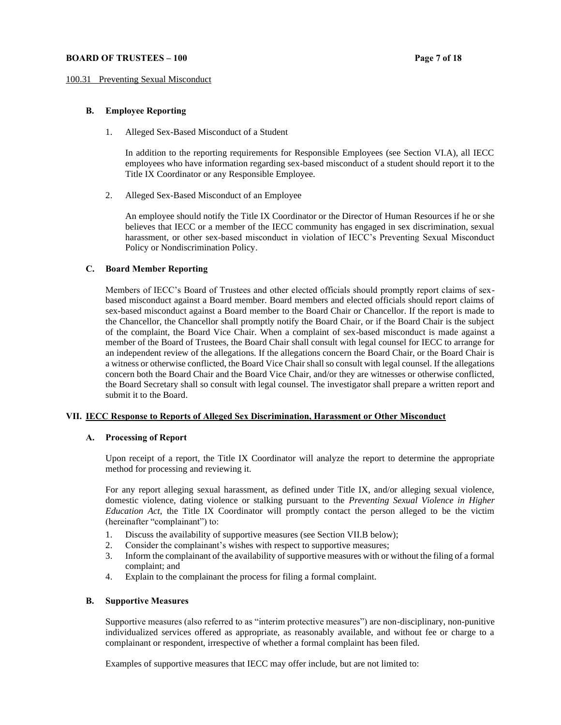#### **BOARD OF TRUSTEES – 100 Page 7 of 18**

#### 100.31 Preventing Sexual Misconduct

# **B. Employee Reporting**

1. Alleged Sex-Based Misconduct of a Student

In addition to the reporting requirements for Responsible Employees (see Section VI.A), all IECC employees who have information regarding sex-based misconduct of a student should report it to the Title IX Coordinator or any Responsible Employee.

2. Alleged Sex-Based Misconduct of an Employee

An employee should notify the Title IX Coordinator or the Director of Human Resources if he or she believes that IECC or a member of the IECC community has engaged in sex discrimination, sexual harassment, or other sex-based misconduct in violation of IECC's Preventing Sexual Misconduct Policy or Nondiscrimination Policy.

## **C. Board Member Reporting**

Members of IECC's Board of Trustees and other elected officials should promptly report claims of sexbased misconduct against a Board member. Board members and elected officials should report claims of sex-based misconduct against a Board member to the Board Chair or Chancellor. If the report is made to the Chancellor, the Chancellor shall promptly notify the Board Chair, or if the Board Chair is the subject of the complaint, the Board Vice Chair. When a complaint of sex-based misconduct is made against a member of the Board of Trustees, the Board Chair shall consult with legal counsel for IECC to arrange for an independent review of the allegations. If the allegations concern the Board Chair, or the Board Chair is a witness or otherwise conflicted, the Board Vice Chair shall so consult with legal counsel. If the allegations concern both the Board Chair and the Board Vice Chair, and/or they are witnesses or otherwise conflicted, the Board Secretary shall so consult with legal counsel. The investigator shall prepare a written report and submit it to the Board.

## **VII. IECC Response to Reports of Alleged Sex Discrimination, Harassment or Other Misconduct**

## **A. Processing of Report**

Upon receipt of a report, the Title IX Coordinator will analyze the report to determine the appropriate method for processing and reviewing it.

For any report alleging sexual harassment, as defined under Title IX, and/or alleging sexual violence, domestic violence, dating violence or stalking pursuant to the *Preventing Sexual Violence in Higher Education Act*, the Title IX Coordinator will promptly contact the person alleged to be the victim (hereinafter "complainant") to:

- 1. Discuss the availability of supportive measures (see Section VII.B below);
- 2. Consider the complainant's wishes with respect to supportive measures;
- 3. Inform the complainant of the availability of supportive measures with or without the filing of a formal complaint; and
- 4. Explain to the complainant the process for filing a formal complaint.

# **B. Supportive Measures**

Supportive measures (also referred to as "interim protective measures") are non-disciplinary, non-punitive individualized services offered as appropriate, as reasonably available, and without fee or charge to a complainant or respondent, irrespective of whether a formal complaint has been filed.

Examples of supportive measures that IECC may offer include, but are not limited to: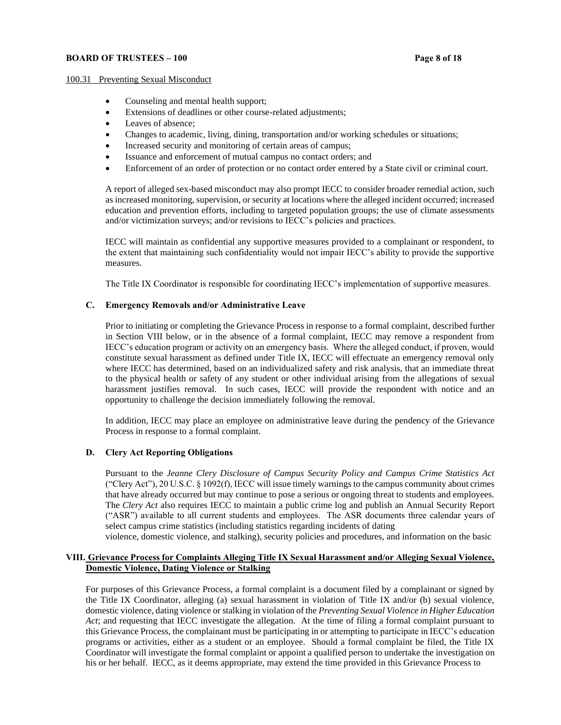## **BOARD OF TRUSTEES – 100 Page 8** of 18

#### 100.31 Preventing Sexual Misconduct

- Counseling and mental health support;
- Extensions of deadlines or other course-related adjustments;
- Leaves of absence:
- Changes to academic, living, dining, transportation and/or working schedules or situations;
- Increased security and monitoring of certain areas of campus;
- Issuance and enforcement of mutual campus no contact orders; and
- Enforcement of an order of protection or no contact order entered by a State civil or criminal court.

A report of alleged sex-based misconduct may also prompt IECC to consider broader remedial action, such as increased monitoring, supervision, or security at locations where the alleged incident occurred; increased education and prevention efforts, including to targeted population groups; the use of climate assessments and/or victimization surveys; and/or revisions to IECC's policies and practices.

IECC will maintain as confidential any supportive measures provided to a complainant or respondent, to the extent that maintaining such confidentiality would not impair IECC's ability to provide the supportive measures.

The Title IX Coordinator is responsible for coordinating IECC's implementation of supportive measures.

## **C. Emergency Removals and/or Administrative Leave**

Prior to initiating or completing the Grievance Process in response to a formal complaint, described further in Section VIII below, or in the absence of a formal complaint, IECC may remove a respondent from IECC's education program or activity on an emergency basis. Where the alleged conduct, if proven, would constitute sexual harassment as defined under Title IX, IECC will effectuate an emergency removal only where IECC has determined, based on an individualized safety and risk analysis, that an immediate threat to the physical health or safety of any student or other individual arising from the allegations of sexual harassment justifies removal. In such cases, IECC will provide the respondent with notice and an opportunity to challenge the decision immediately following the removal.

In addition, IECC may place an employee on administrative leave during the pendency of the Grievance Process in response to a formal complaint.

## **D. Clery Act Reporting Obligations**

Pursuant to the *Jeanne Clery Disclosure of Campus Security Policy and Campus Crime Statistics Act* ("Clery Act"), 20 U.S.C. § 1092(f), IECC will issue timely warnings to the campus community about crimes that have already occurred but may continue to pose a serious or ongoing threat to students and employees. The *Clery Act* also requires IECC to maintain a public crime log and publish an Annual Security Report ("ASR") available to all current students and employees. The ASR documents three calendar years of select campus crime statistics (including statistics regarding incidents of dating

violence, domestic violence, and stalking), security policies and procedures, and information on the basic

## **VIII. Grievance Process for Complaints Alleging Title IX Sexual Harassment and/or Alleging Sexual Violence, Domestic Violence, Dating Violence or Stalking**

For purposes of this Grievance Process, a formal complaint is a document filed by a complainant or signed by the Title IX Coordinator, alleging (a) sexual harassment in violation of Title IX and/or (b) sexual violence, domestic violence, dating violence or stalking in violation of the *Preventing Sexual Violence in Higher Education Act*; and requesting that IECC investigate the allegation. At the time of filing a formal complaint pursuant to this Grievance Process, the complainant must be participating in or attempting to participate in IECC's education programs or activities, either as a student or an employee. Should a formal complaint be filed, the Title IX Coordinator will investigate the formal complaint or appoint a qualified person to undertake the investigation on his or her behalf. IECC, as it deems appropriate, may extend the time provided in this Grievance Process to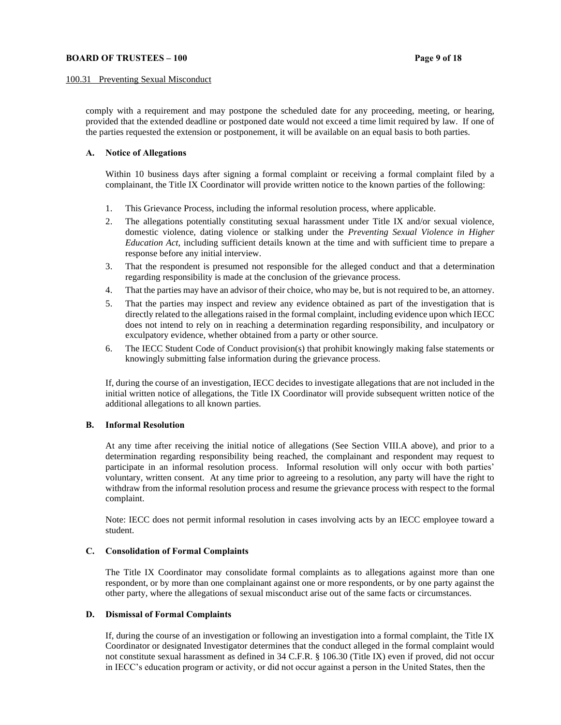#### **BOARD OF TRUSTEES – 100 Page 9** of 18

#### 100.31 Preventing Sexual Misconduct

comply with a requirement and may postpone the scheduled date for any proceeding, meeting, or hearing, provided that the extended deadline or postponed date would not exceed a time limit required by law. If one of the parties requested the extension or postponement, it will be available on an equal basis to both parties.

#### **A. Notice of Allegations**

Within 10 business days after signing a formal complaint or receiving a formal complaint filed by a complainant, the Title IX Coordinator will provide written notice to the known parties of the following:

- 1. This Grievance Process, including the informal resolution process, where applicable.
- 2. The allegations potentially constituting sexual harassment under Title IX and/or sexual violence, domestic violence, dating violence or stalking under the *Preventing Sexual Violence in Higher Education Act*, including sufficient details known at the time and with sufficient time to prepare a response before any initial interview.
- 3. That the respondent is presumed not responsible for the alleged conduct and that a determination regarding responsibility is made at the conclusion of the grievance process.
- 4. That the parties may have an advisor of their choice, who may be, but is not required to be, an attorney.
- 5. That the parties may inspect and review any evidence obtained as part of the investigation that is directly related to the allegations raised in the formal complaint, including evidence upon which IECC does not intend to rely on in reaching a determination regarding responsibility, and inculpatory or exculpatory evidence, whether obtained from a party or other source.
- 6. The IECC Student Code of Conduct provision(s) that prohibit knowingly making false statements or knowingly submitting false information during the grievance process.

If, during the course of an investigation, IECC decides to investigate allegations that are not included in the initial written notice of allegations, the Title IX Coordinator will provide subsequent written notice of the additional allegations to all known parties.

## **B. Informal Resolution**

At any time after receiving the initial notice of allegations (See Section VIII.A above), and prior to a determination regarding responsibility being reached, the complainant and respondent may request to participate in an informal resolution process. Informal resolution will only occur with both parties' voluntary, written consent. At any time prior to agreeing to a resolution, any party will have the right to withdraw from the informal resolution process and resume the grievance process with respect to the formal complaint.

Note: IECC does not permit informal resolution in cases involving acts by an IECC employee toward a student.

#### **C. Consolidation of Formal Complaints**

The Title IX Coordinator may consolidate formal complaints as to allegations against more than one respondent, or by more than one complainant against one or more respondents, or by one party against the other party, where the allegations of sexual misconduct arise out of the same facts or circumstances.

## **D. Dismissal of Formal Complaints**

If, during the course of an investigation or following an investigation into a formal complaint, the Title IX Coordinator or designated Investigator determines that the conduct alleged in the formal complaint would not constitute sexual harassment as defined in 34 C.F.R. § 106.30 (Title IX) even if proved, did not occur in IECC's education program or activity, or did not occur against a person in the United States, then the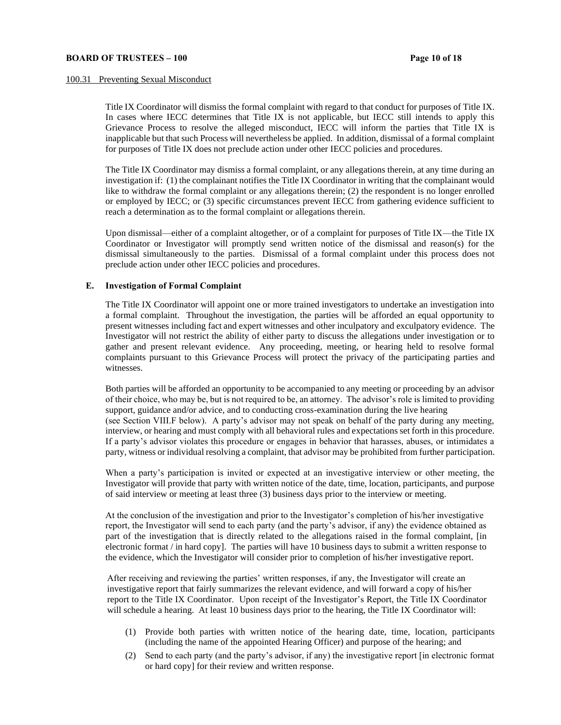#### 100.31 Preventing Sexual Misconduct

Title IX Coordinator will dismiss the formal complaint with regard to that conduct for purposes of Title IX. In cases where IECC determines that Title IX is not applicable, but IECC still intends to apply this Grievance Process to resolve the alleged misconduct, IECC will inform the parties that Title IX is inapplicable but that such Process will nevertheless be applied. In addition, dismissal of a formal complaint for purposes of Title IX does not preclude action under other IECC policies and procedures.

The Title IX Coordinator may dismiss a formal complaint, or any allegations therein, at any time during an investigation if: (1) the complainant notifies the Title IX Coordinator in writing that the complainant would like to withdraw the formal complaint or any allegations therein; (2) the respondent is no longer enrolled or employed by IECC; or (3) specific circumstances prevent IECC from gathering evidence sufficient to reach a determination as to the formal complaint or allegations therein.

Upon dismissal—either of a complaint altogether, or of a complaint for purposes of Title IX—the Title IX Coordinator or Investigator will promptly send written notice of the dismissal and reason(s) for the dismissal simultaneously to the parties. Dismissal of a formal complaint under this process does not preclude action under other IECC policies and procedures.

## **E. Investigation of Formal Complaint**

The Title IX Coordinator will appoint one or more trained investigators to undertake an investigation into a formal complaint. Throughout the investigation, the parties will be afforded an equal opportunity to present witnesses including fact and expert witnesses and other inculpatory and exculpatory evidence. The Investigator will not restrict the ability of either party to discuss the allegations under investigation or to gather and present relevant evidence. Any proceeding, meeting, or hearing held to resolve formal complaints pursuant to this Grievance Process will protect the privacy of the participating parties and witnesses.

Both parties will be afforded an opportunity to be accompanied to any meeting or proceeding by an advisor of their choice, who may be, but is not required to be, an attorney. The advisor's role is limited to providing support, guidance and/or advice, and to conducting cross-examination during the live hearing (see Section VIII.F below). A party's advisor may not speak on behalf of the party during any meeting, interview, or hearing and must comply with all behavioral rules and expectations set forth in this procedure. If a party's advisor violates this procedure or engages in behavior that harasses, abuses, or intimidates a party, witness or individual resolving a complaint, that advisor may be prohibited from further participation.

When a party's participation is invited or expected at an investigative interview or other meeting, the Investigator will provide that party with written notice of the date, time, location, participants, and purpose of said interview or meeting at least three (3) business days prior to the interview or meeting.

At the conclusion of the investigation and prior to the Investigator's completion of his/her investigative report, the Investigator will send to each party (and the party's advisor, if any) the evidence obtained as part of the investigation that is directly related to the allegations raised in the formal complaint, [in electronic format / in hard copy]. The parties will have 10 business days to submit a written response to the evidence, which the Investigator will consider prior to completion of his/her investigative report.

After receiving and reviewing the parties' written responses, if any, the Investigator will create an investigative report that fairly summarizes the relevant evidence, and will forward a copy of his/her report to the Title IX Coordinator. Upon receipt of the Investigator's Report, the Title IX Coordinator will schedule a hearing. At least 10 business days prior to the hearing, the Title IX Coordinator will:

- (1) Provide both parties with written notice of the hearing date, time, location, participants (including the name of the appointed Hearing Officer) and purpose of the hearing; and
- (2) Send to each party (and the party's advisor, if any) the investigative report [in electronic format or hard copy] for their review and written response.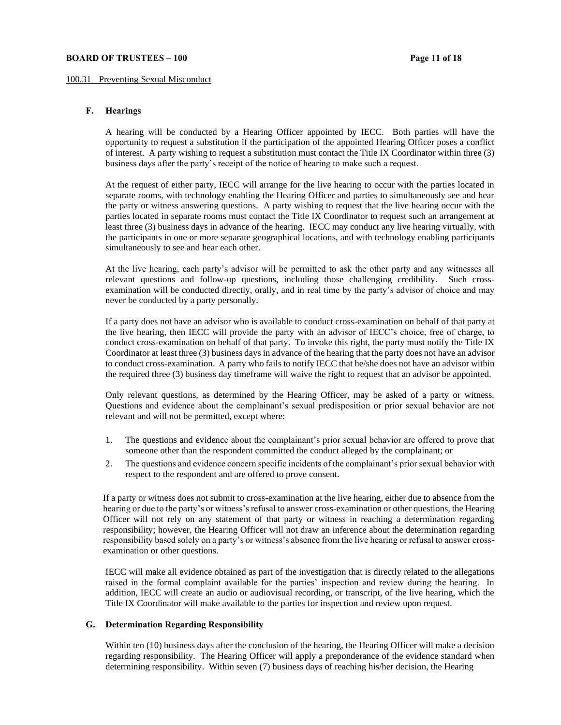#### **BOARD OF TRUSTEES – 100 Page 11 of 18**

#### 100.31 Preventing Sexual Misconduct

## **F. Hearings**

A hearing will be conducted by a Hearing Officer appointed by IECC. Both parties will have the opportunity to request a substitution if the participation of the appointed Hearing Officer poses a conflict of interest. A party wishing to request a substitution must contact the Title IX Coordinator within three (3) business days after the party's receipt of the notice of hearing to make such a request.

At the request of either party, IECC will arrange for the live hearing to occur with the parties located in separate rooms, with technology enabling the Hearing Officer and parties to simultaneously see and hear the party or witness answering questions. A party wishing to request that the live hearing occur with the parties located in separate rooms must contact the Title IX Coordinator to request such an arrangement at least three (3) business days in advance of the hearing. IECC may conduct any live hearing virtually, with the participants in one or more separate geographical locations, and with technology enabling participants simultaneously to see and hear each other.

At the live hearing, each party's advisor will be permitted to ask the other party and any witnesses all relevant questions and follow-up questions, including those challenging credibility. Such crossexamination will be conducted directly, orally, and in real time by the party's advisor of choice and may never be conducted by a party personally.

If a party does not have an advisor who is available to conduct cross-examination on behalf of that party at the live hearing, then IECC will provide the party with an advisor of IECC's choice, free of charge, to conduct cross-examination on behalf of that party. To invoke this right, the party must notify the Title IX Coordinator at least three (3) business days in advance of the hearing that the party does not have an advisor to conduct cross-examination. A party who fails to notify IECC that he/she does not have an advisor within the required three (3) business day timeframe will waive the right to request that an advisor be appointed.

Only relevant questions, as determined by the Hearing Officer, may be asked of a party or witness. Questions and evidence about the complainant's sexual predisposition or prior sexual behavior are not relevant and will not be permitted, except where:

- 1. The questions and evidence about the complainant's prior sexual behavior are offered to prove that someone other than the respondent committed the conduct alleged by the complainant; or
- 2. The questions and evidence concern specific incidents of the complainant's prior sexual behavior with respect to the respondent and are offered to prove consent.

If a party or witness does not submit to cross-examination at the live hearing, either due to absence from the hearing or due to the party's or witness's refusal to answer cross-examination or other questions, the Hearing Officer will not rely on any statement of that party or witness in reaching a determination regarding responsibility; however, the Hearing Officer will not draw an inference about the determination regarding responsibility based solely on a party's or witness's absence from the live hearing or refusal to answer crossexamination or other questions.

IECC will make all evidence obtained as part of the investigation that is directly related to the allegations raised in the formal complaint available for the parties' inspection and review during the hearing. In addition, IECC will create an audio or audiovisual recording, or transcript, of the live hearing, which the Title IX Coordinator will make available to the parties for inspection and review upon request.

# **G. Determination Regarding Responsibility**

Within ten (10) business days after the conclusion of the hearing, the Hearing Officer will make a decision regarding responsibility. The Hearing Officer will apply a preponderance of the evidence standard when determining responsibility. Within seven (7) business days of reaching his/her decision, the Hearing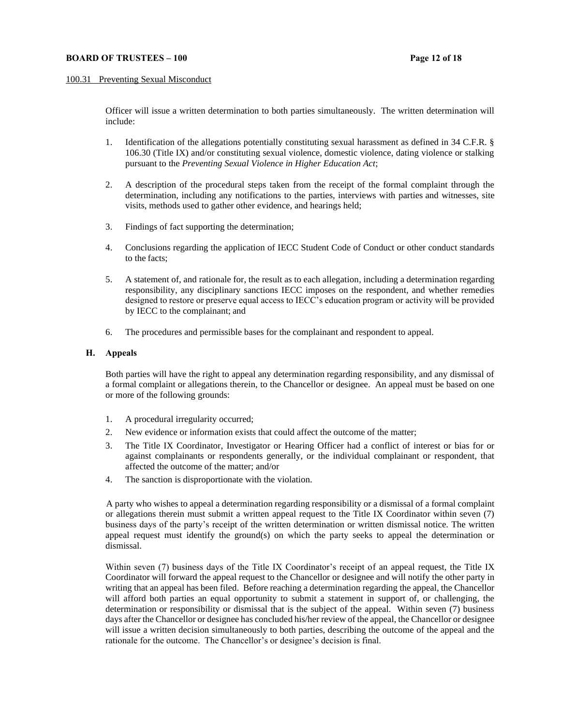#### 100.31 Preventing Sexual Misconduct

Officer will issue a written determination to both parties simultaneously. The written determination will include:

- 1. Identification of the allegations potentially constituting sexual harassment as defined in 34 C.F.R. § 106.30 (Title IX) and/or constituting sexual violence, domestic violence, dating violence or stalking pursuant to the *Preventing Sexual Violence in Higher Education Act*;
- 2. A description of the procedural steps taken from the receipt of the formal complaint through the determination, including any notifications to the parties, interviews with parties and witnesses, site visits, methods used to gather other evidence, and hearings held;
- 3. Findings of fact supporting the determination;
- 4. Conclusions regarding the application of IECC Student Code of Conduct or other conduct standards to the facts;
- 5. A statement of, and rationale for, the result as to each allegation, including a determination regarding responsibility, any disciplinary sanctions IECC imposes on the respondent, and whether remedies designed to restore or preserve equal access to IECC's education program or activity will be provided by IECC to the complainant; and
- 6. The procedures and permissible bases for the complainant and respondent to appeal.

#### **H. Appeals**

Both parties will have the right to appeal any determination regarding responsibility, and any dismissal of a formal complaint or allegations therein, to the Chancellor or designee. An appeal must be based on one or more of the following grounds:

- 1. A procedural irregularity occurred;
- 2. New evidence or information exists that could affect the outcome of the matter;
- 3. The Title IX Coordinator, Investigator or Hearing Officer had a conflict of interest or bias for or against complainants or respondents generally, or the individual complainant or respondent, that affected the outcome of the matter; and/or
- 4. The sanction is disproportionate with the violation.

A party who wishes to appeal a determination regarding responsibility or a dismissal of a formal complaint or allegations therein must submit a written appeal request to the Title IX Coordinator within seven (7) business days of the party's receipt of the written determination or written dismissal notice. The written appeal request must identify the ground(s) on which the party seeks to appeal the determination or dismissal.

Within seven (7) business days of the Title IX Coordinator's receipt of an appeal request, the Title IX Coordinator will forward the appeal request to the Chancellor or designee and will notify the other party in writing that an appeal has been filed. Before reaching a determination regarding the appeal, the Chancellor will afford both parties an equal opportunity to submit a statement in support of, or challenging, the determination or responsibility or dismissal that is the subject of the appeal. Within seven (7) business days after the Chancellor or designee has concluded his/her review of the appeal, the Chancellor or designee will issue a written decision simultaneously to both parties, describing the outcome of the appeal and the rationale for the outcome. The Chancellor's or designee's decision is final.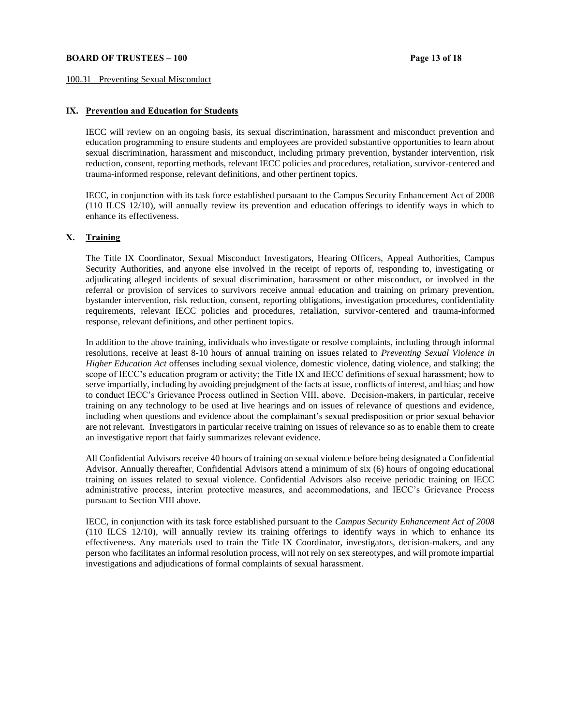#### **BOARD OF TRUSTEES – 100 Page 13 of 18**

#### 100.31 Preventing Sexual Misconduct

## **IX. Prevention and Education for Students**

IECC will review on an ongoing basis, its sexual discrimination, harassment and misconduct prevention and education programming to ensure students and employees are provided substantive opportunities to learn about sexual discrimination, harassment and misconduct, including primary prevention, bystander intervention, risk reduction, consent, reporting methods, relevant IECC policies and procedures, retaliation, survivor-centered and trauma-informed response, relevant definitions, and other pertinent topics.

IECC, in conjunction with its task force established pursuant to the Campus Security Enhancement Act of 2008 (110 ILCS 12/10), will annually review its prevention and education offerings to identify ways in which to enhance its effectiveness.

# **X. Training**

The Title IX Coordinator, Sexual Misconduct Investigators, Hearing Officers, Appeal Authorities, Campus Security Authorities, and anyone else involved in the receipt of reports of, responding to, investigating or adjudicating alleged incidents of sexual discrimination, harassment or other misconduct, or involved in the referral or provision of services to survivors receive annual education and training on primary prevention, bystander intervention, risk reduction, consent, reporting obligations, investigation procedures, confidentiality requirements, relevant IECC policies and procedures, retaliation, survivor-centered and trauma-informed response, relevant definitions, and other pertinent topics.

In addition to the above training, individuals who investigate or resolve complaints, including through informal resolutions, receive at least 8-10 hours of annual training on issues related to *Preventing Sexual Violence in Higher Education Act* offenses including sexual violence, domestic violence, dating violence, and stalking; the scope of IECC's education program or activity; the Title IX and IECC definitions of sexual harassment; how to serve impartially, including by avoiding prejudgment of the facts at issue, conflicts of interest, and bias; and how to conduct IECC's Grievance Process outlined in Section VIII, above. Decision-makers, in particular, receive training on any technology to be used at live hearings and on issues of relevance of questions and evidence, including when questions and evidence about the complainant's sexual predisposition or prior sexual behavior are not relevant. Investigators in particular receive training on issues of relevance so as to enable them to create an investigative report that fairly summarizes relevant evidence.

All Confidential Advisors receive 40 hours of training on sexual violence before being designated a Confidential Advisor. Annually thereafter, Confidential Advisors attend a minimum of six (6) hours of ongoing educational training on issues related to sexual violence. Confidential Advisors also receive periodic training on IECC administrative process, interim protective measures, and accommodations, and IECC's Grievance Process pursuant to Section VIII above.

IECC, in conjunction with its task force established pursuant to the *Campus Security Enhancement Act of 2008* (110 ILCS 12/10), will annually review its training offerings to identify ways in which to enhance its effectiveness. Any materials used to train the Title IX Coordinator, investigators, decision-makers, and any person who facilitates an informal resolution process, will not rely on sex stereotypes, and will promote impartial investigations and adjudications of formal complaints of sexual harassment.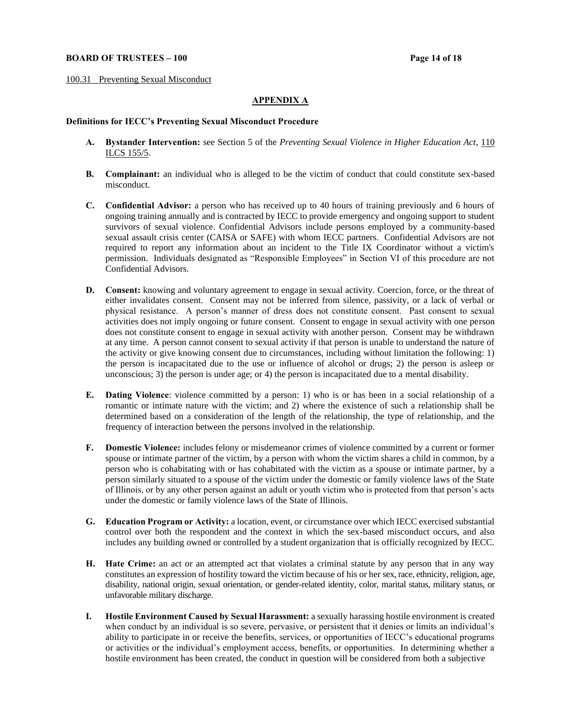## **BOARD OF TRUSTEES – 100 Page 14 of 18**

100.31 Preventing Sexual Misconduct

## **APPENDIX A**

## **Definitions for IECC's Preventing Sexual Misconduct Procedure**

- **A. Bystander Intervention:** see Section 5 of the *Preventing Sexual Violence in Higher Education Act*, [110](http://www.ilga.gov/legislation/ilcs/ilcs3.asp?ActID=3672&ChapterID=18)  [ILCS 155/5.](http://www.ilga.gov/legislation/ilcs/ilcs3.asp?ActID=3672&ChapterID=18)
- **B. Complainant:** an individual who is alleged to be the victim of conduct that could constitute sex-based misconduct.
- **C. Confidential Advisor:** a person who has received up to 40 hours of training previously and 6 hours of ongoing training annually and is contracted by IECC to provide emergency and ongoing support to student survivors of sexual violence. Confidential Advisors include persons employed by a community-based sexual assault crisis center (CAISA or SAFE) with whom IECC partners. Confidential Advisors are not required to report any information about an incident to the Title IX Coordinator without a victim's permission. Individuals designated as "Responsible Employees" in Section VI of this procedure are not Confidential Advisors.
- **D. Consent:** knowing and voluntary agreement to engage in sexual activity. Coercion, force, or the threat of either invalidates consent. Consent may not be inferred from silence, passivity, or a lack of verbal or physical resistance. A person's manner of dress does not constitute consent. Past consent to sexual activities does not imply ongoing or future consent. Consent to engage in sexual activity with one person does not constitute consent to engage in sexual activity with another person. Consent may be withdrawn at any time. A person cannot consent to sexual activity if that person is unable to understand the nature of the activity or give knowing consent due to circumstances, including without limitation the following: 1) the person is incapacitated due to the use or influence of alcohol or drugs; 2) the person is asleep or unconscious; 3) the person is under age; or 4) the person is incapacitated due to a mental disability.
- **E. Dating Violence**: violence committed by a person: 1) who is or has been in a social relationship of a romantic or intimate nature with the victim; and 2) where the existence of such a relationship shall be determined based on a consideration of the length of the relationship, the type of relationship, and the frequency of interaction between the persons involved in the relationship.
- **F. Domestic Violence:** includes felony or misdemeanor crimes of violence committed by a current or former spouse or intimate partner of the victim, by a person with whom the victim shares a child in common, by a person who is cohabitating with or has cohabitated with the victim as a spouse or intimate partner, by a person similarly situated to a spouse of the victim under the domestic or family violence laws of the State of Illinois, or by any other person against an adult or youth victim who is protected from that person's acts under the domestic or family violence laws of the State of Illinois.
- **G. Education Program or Activity:** a location, event, or circumstance over which IECC exercised substantial control over both the respondent and the context in which the sex-based misconduct occurs, and also includes any building owned or controlled by a student organization that is officially recognized by IECC.
- **H. Hate Crime:** an act or an attempted act that violates a criminal statute by any person that in any way constitutes an expression of hostility toward the victim because of his or her sex, race, ethnicity, religion, age, disability, national origin, sexual orientation, or gender-related identity, color, marital status, military status, or unfavorable military discharge.
- **I. Hostile Environment Caused by Sexual Harassment:** a sexually harassing hostile environment is created when conduct by an individual is so severe, pervasive, or persistent that it denies or limits an individual's ability to participate in or receive the benefits, services, or opportunities of IECC's educational programs or activities or the individual's employment access, benefits, or opportunities. In determining whether a hostile environment has been created, the conduct in question will be considered from both a subjective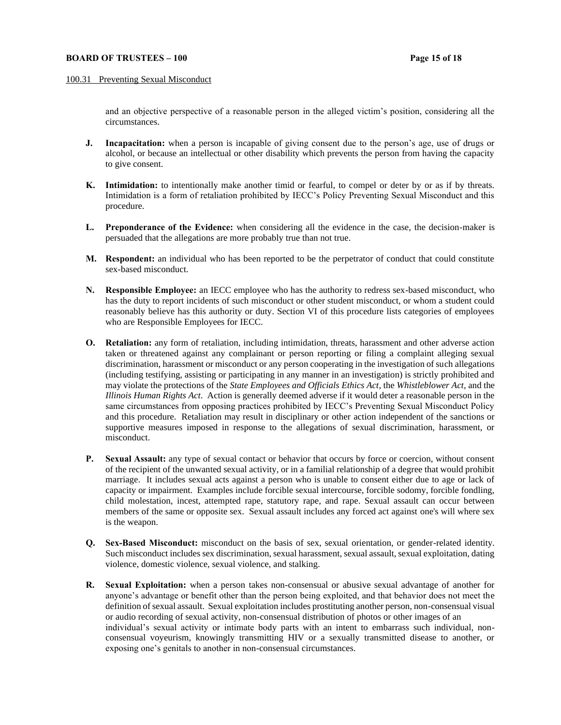#### **BOARD OF TRUSTEES – 100 Page 15 of 18**

#### 100.31 Preventing Sexual Misconduct

and an objective perspective of a reasonable person in the alleged victim's position, considering all the circumstances.

- **J. Incapacitation:** when a person is incapable of giving consent due to the person's age, use of drugs or alcohol, or because an intellectual or other disability which prevents the person from having the capacity to give consent.
- **K. Intimidation:** to intentionally make another timid or fearful, to compel or deter by or as if by threats. Intimidation is a form of retaliation prohibited by IECC's Policy Preventing Sexual Misconduct and this procedure.
- **L. Preponderance of the Evidence:** when considering all the evidence in the case, the decision-maker is persuaded that the allegations are more probably true than not true.
- **M. Respondent:** an individual who has been reported to be the perpetrator of conduct that could constitute sex-based misconduct.
- **N. Responsible Employee:** an IECC employee who has the authority to redress sex-based misconduct, who has the duty to report incidents of such misconduct or other student misconduct, or whom a student could reasonably believe has this authority or duty. Section VI of this procedure lists categories of employees who are Responsible Employees for IECC.
- **O. Retaliation:** any form of retaliation, including intimidation, threats, harassment and other adverse action taken or threatened against any complainant or person reporting or filing a complaint alleging sexual discrimination, harassment or misconduct or any person cooperating in the investigation of such allegations (including testifying, assisting or participating in any manner in an investigation) is strictly prohibited and may violate the protections of the *State Employees and Officials Ethics Act*, the *Whistleblower Act*, and the *Illinois Human Rights Act*. Action is generally deemed adverse if it would deter a reasonable person in the same circumstances from opposing practices prohibited by IECC's Preventing Sexual Misconduct Policy and this procedure. Retaliation may result in disciplinary or other action independent of the sanctions or supportive measures imposed in response to the allegations of sexual discrimination, harassment, or misconduct.
- **P. Sexual Assault:** any type of sexual contact or behavior that occurs by force or coercion, without consent of the recipient of the unwanted sexual activity, or in a familial relationship of a degree that would prohibit marriage. It includes sexual acts against a person who is unable to consent either due to age or lack of capacity or impairment. Examples include forcible sexual intercourse, forcible sodomy, forcible fondling, child molestation, incest, attempted rape, statutory rape, and rape. Sexual assault can occur between members of the same or opposite sex. Sexual assault includes any forced act against one's will where sex is the weapon.
- **Q. Sex-Based Misconduct:** misconduct on the basis of sex, sexual orientation, or gender-related identity. Such misconduct includes sex discrimination, sexual harassment, sexual assault, sexual exploitation, dating violence, domestic violence, sexual violence, and stalking.
- **R. Sexual Exploitation:** when a person takes non-consensual or abusive sexual advantage of another for anyone's advantage or benefit other than the person being exploited, and that behavior does not meet the definition of sexual assault. Sexual exploitation includes prostituting another person, non-consensual visual or audio recording of sexual activity, non-consensual distribution of photos or other images of an individual's sexual activity or intimate body parts with an intent to embarrass such individual, nonconsensual voyeurism, knowingly transmitting HIV or a sexually transmitted disease to another, or exposing one's genitals to another in non-consensual circumstances.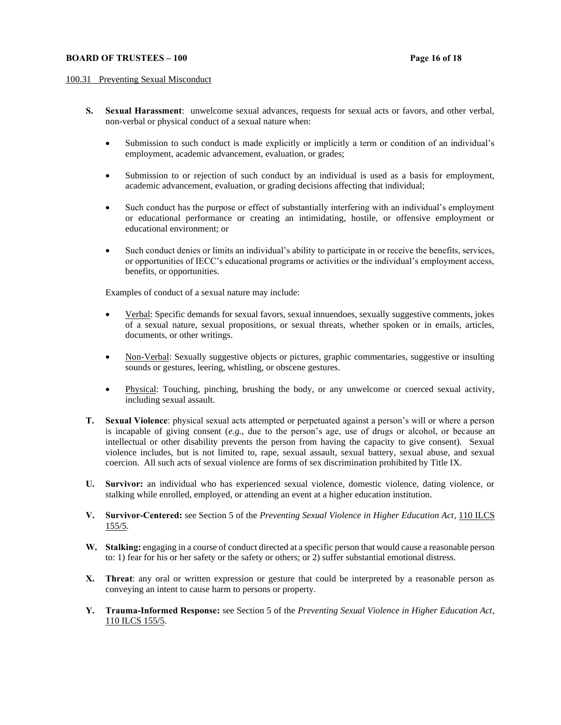## **BOARD OF TRUSTEES – 100 Page 16 of 18**

#### 100.31 Preventing Sexual Misconduct

- **S. Sexual Harassment**: unwelcome sexual advances, requests for sexual acts or favors, and other verbal, non-verbal or physical conduct of a sexual nature when:
	- Submission to such conduct is made explicitly or implicitly a term or condition of an individual's employment, academic advancement, evaluation, or grades;
	- Submission to or rejection of such conduct by an individual is used as a basis for employment, academic advancement, evaluation, or grading decisions affecting that individual;
	- Such conduct has the purpose or effect of substantially interfering with an individual's employment or educational performance or creating an intimidating, hostile, or offensive employment or educational environment; or
	- Such conduct denies or limits an individual's ability to participate in or receive the benefits, services, or opportunities of IECC's educational programs or activities or the individual's employment access, benefits, or opportunities.

Examples of conduct of a sexual nature may include:

- Verbal: Specific demands for sexual favors, sexual innuendoes, sexually suggestive comments, jokes of a sexual nature, sexual propositions, or sexual threats, whether spoken or in emails, articles, documents, or other writings.
- Non-Verbal: Sexually suggestive objects or pictures, graphic commentaries, suggestive or insulting sounds or gestures, leering, whistling, or obscene gestures.
- Physical: Touching, pinching, brushing the body, or any unwelcome or coerced sexual activity, including sexual assault.
- **T. Sexual Violence**: physical sexual acts attempted or perpetuated against a person's will or where a person is incapable of giving consent  $(e.g.,\,$  due to the person's age, use of drugs or alcohol, or because an intellectual or other disability prevents the person from having the capacity to give consent). Sexual violence includes, but is not limited to, rape, sexual assault, sexual battery, sexual abuse, and sexual coercion. All such acts of sexual violence are forms of sex discrimination prohibited by Title IX.
- **U. Survivor:** an individual who has experienced sexual violence, domestic violence, dating violence, or stalking while enrolled, employed, or attending an event at a higher education institution.
- **V. Survivor-Centered:** see Section 5 of the *Preventing Sexual Violence in Higher Education Act*[, 110 ILCS](http://www.ilga.gov/legislation/ilcs/ilcs3.asp?ActID=3672&ChapterID=18)  [155/5.](http://www.ilga.gov/legislation/ilcs/ilcs3.asp?ActID=3672&ChapterID=18)
- **W. Stalking:** engaging in a course of conduct directed at a specific person that would cause a reasonable person to: 1) fear for his or her safety or the safety or others; or 2) suffer substantial emotional distress.
- **X. Threat**: any oral or written expression or gesture that could be interpreted by a reasonable person as conveying an intent to cause harm to persons or property.
- **Y. Trauma-Informed Response:** see Section 5 of the *Preventing Sexual Violence in Higher Education Act*, [110 ILCS 155/5.](http://www.ilga.gov/legislation/ilcs/ilcs3.asp?ActID=3672&ChapterID=18)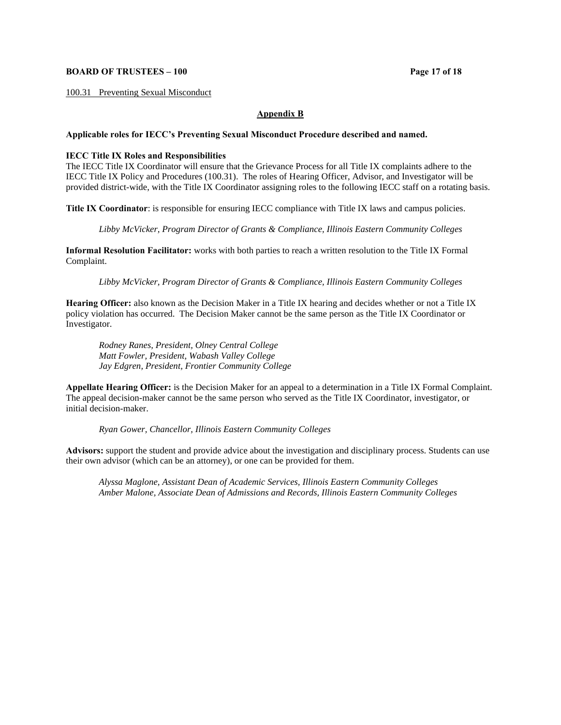## **BOARD OF TRUSTEES – 100 Page 17 of 18**

100.31 Preventing Sexual Misconduct

# **Appendix B**

## **Applicable roles for IECC's Preventing Sexual Misconduct Procedure described and named.**

## **IECC Title IX Roles and Responsibilities**

The IECC Title IX Coordinator will ensure that the Grievance Process for all Title IX complaints adhere to the IECC Title IX Policy and Procedures (100.31). The roles of Hearing Officer, Advisor, and Investigator will be provided district-wide, with the Title IX Coordinator assigning roles to the following IECC staff on a rotating basis.

**Title IX Coordinator**: is responsible for ensuring IECC compliance with Title IX laws and campus policies.

*Libby McVicker, Program Director of Grants & Compliance, Illinois Eastern Community Colleges*

**Informal Resolution Facilitator:** works with both parties to reach a written resolution to the Title IX Formal Complaint.

*Libby McVicker, Program Director of Grants & Compliance, Illinois Eastern Community Colleges*

**Hearing Officer:** also known as the Decision Maker in a Title IX hearing and decides whether or not a Title IX policy violation has occurred. The Decision Maker cannot be the same person as the Title IX Coordinator or Investigator.

*Rodney Ranes, President, Olney Central College Matt Fowler, President, Wabash Valley College Jay Edgren, President, Frontier Community College*

**Appellate Hearing Officer:** is the Decision Maker for an appeal to a determination in a Title IX Formal Complaint. The appeal decision-maker cannot be the same person who served as the Title IX Coordinator, investigator, or initial decision-maker.

*Ryan Gower, Chancellor, Illinois Eastern Community Colleges*

**Advisors:** support the student and provide advice about the investigation and disciplinary process. Students can use their own advisor (which can be an attorney), or one can be provided for them.

*Alyssa Maglone, Assistant Dean of Academic Services, Illinois Eastern Community Colleges Amber Malone, Associate Dean of Admissions and Records, Illinois Eastern Community Colleges*